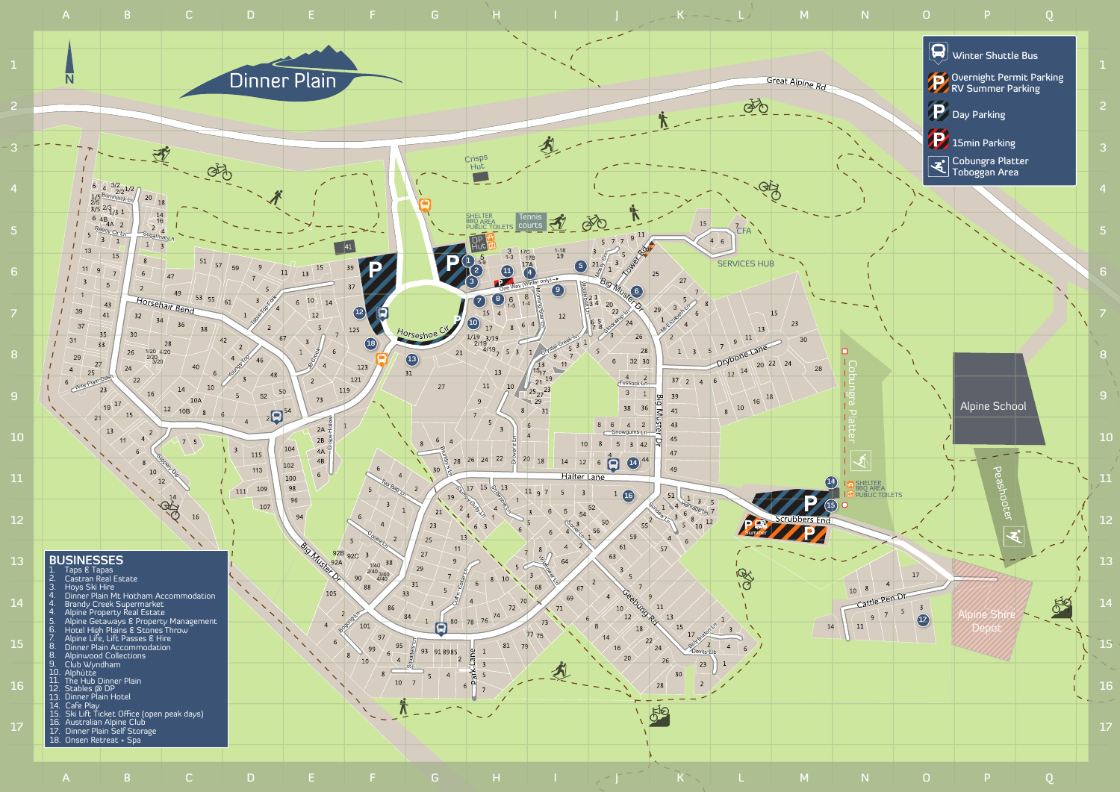